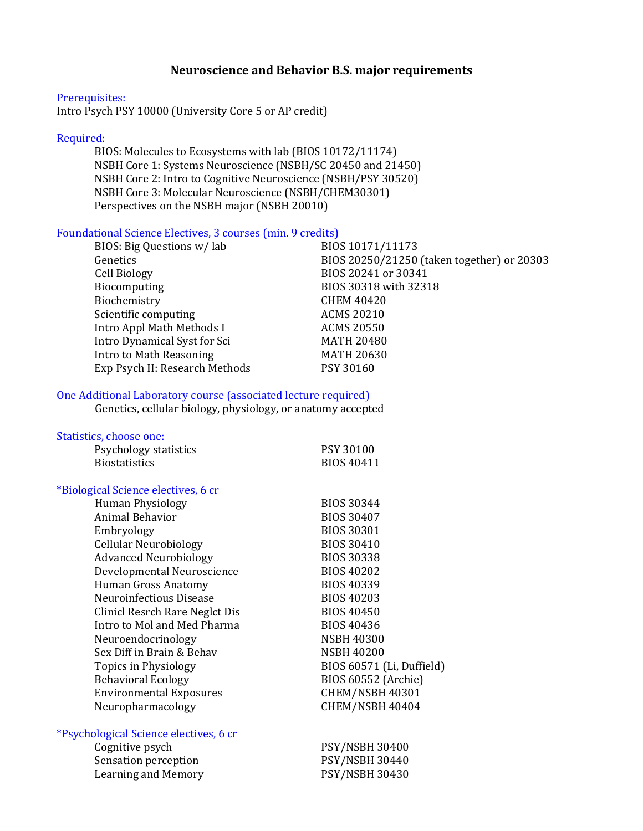## Neuroscience and Behavior B.S. major requirements

#### Prerequisites:

Intro Psych PSY 10000 (University Core 5 or AP credit)

### Required:

BIOS: Molecules to Ecosystems with lab (BIOS 10172/11174) NSBH Core 1: Systems Neuroscience (NSBH/SC 20450 and 21450) NSBH Core 2: Intro to Cognitive Neuroscience (NSBH/PSY 30520) NSBH Core 3: Molecular Neuroscience (NSBH/CHEM30301) Perspectives on the NSBH major (NSBH 20010)

## Foundational Science Electives, 3 courses (min. 9 credits)

| BIOS: Big Questions w/lab      | BIOS 10171/11173                           |
|--------------------------------|--------------------------------------------|
| Genetics                       | BIOS 20250/21250 (taken together) or 20303 |
| Cell Biology                   | BIOS 20241 or 30341                        |
| Biocomputing                   | BIOS 30318 with 32318                      |
| Biochemistry                   | <b>CHEM 40420</b>                          |
| Scientific computing           | <b>ACMS 20210</b>                          |
| Intro Appl Math Methods I      | <b>ACMS 20550</b>                          |
| Intro Dynamical Syst for Sci   | <b>MATH 20480</b>                          |
| Intro to Math Reasoning        | <b>MATH 20630</b>                          |
| Exp Psych II: Research Methods | PSY 30160                                  |
|                                |                                            |

#### One Additional Laboratory course (associated lecture required)

Genetics, cellular biology, physiology, or anatomy accepted

#### Statistics, choose one:

| Psychology statistics               | <b>PSY 30100</b>  |
|-------------------------------------|-------------------|
| <b>Biostatistics</b>                | <b>BIOS 40411</b> |
|                                     |                   |
| *Biological Science electives, 6 cr |                   |
| Human Physiology                    | <b>BIOS 30344</b> |
| Animal Behavior                     | <b>BIOS 30407</b> |
| Embryology                          | <b>BIOS 30301</b> |
| <b>Cellular Neurobiology</b>        | <b>BIOS 30410</b> |

| <b>Cellular Neurobiology</b>   | <b>BIOS 30410</b>         |
|--------------------------------|---------------------------|
| <b>Advanced Neurobiology</b>   | <b>BIOS 30338</b>         |
| Developmental Neuroscience     | <b>BIOS 40202</b>         |
| Human Gross Anatomy            | <b>BIOS 40339</b>         |
| Neuroinfectious Disease        | BIOS 40203                |
| Clinicl Resrch Rare Neglct Dis | <b>BIOS 40450</b>         |
| Intro to Mol and Med Pharma    | <b>BIOS 40436</b>         |
| Neuroendocrinology             | <b>NSBH 40300</b>         |
| Sex Diff in Brain & Behav      | <b>NSBH 40200</b>         |
| Topics in Physiology           | BIOS 60571 (Li, Duffield) |
| <b>Behavioral Ecology</b>      | BIOS 60552 (Archie)       |
| <b>Environmental Exposures</b> | CHEM/NSBH 40301           |
| Neuropharmacology              | CHEM/NSBH 40404           |
|                                |                           |

## \*Psychological Science electives, 6 cr

| Cognitive psych      | <b>PSY/NSBH 30400</b> |
|----------------------|-----------------------|
| Sensation perception | <b>PSY/NSBH 30440</b> |
| Learning and Memory  | <b>PSY/NSBH 30430</b> |